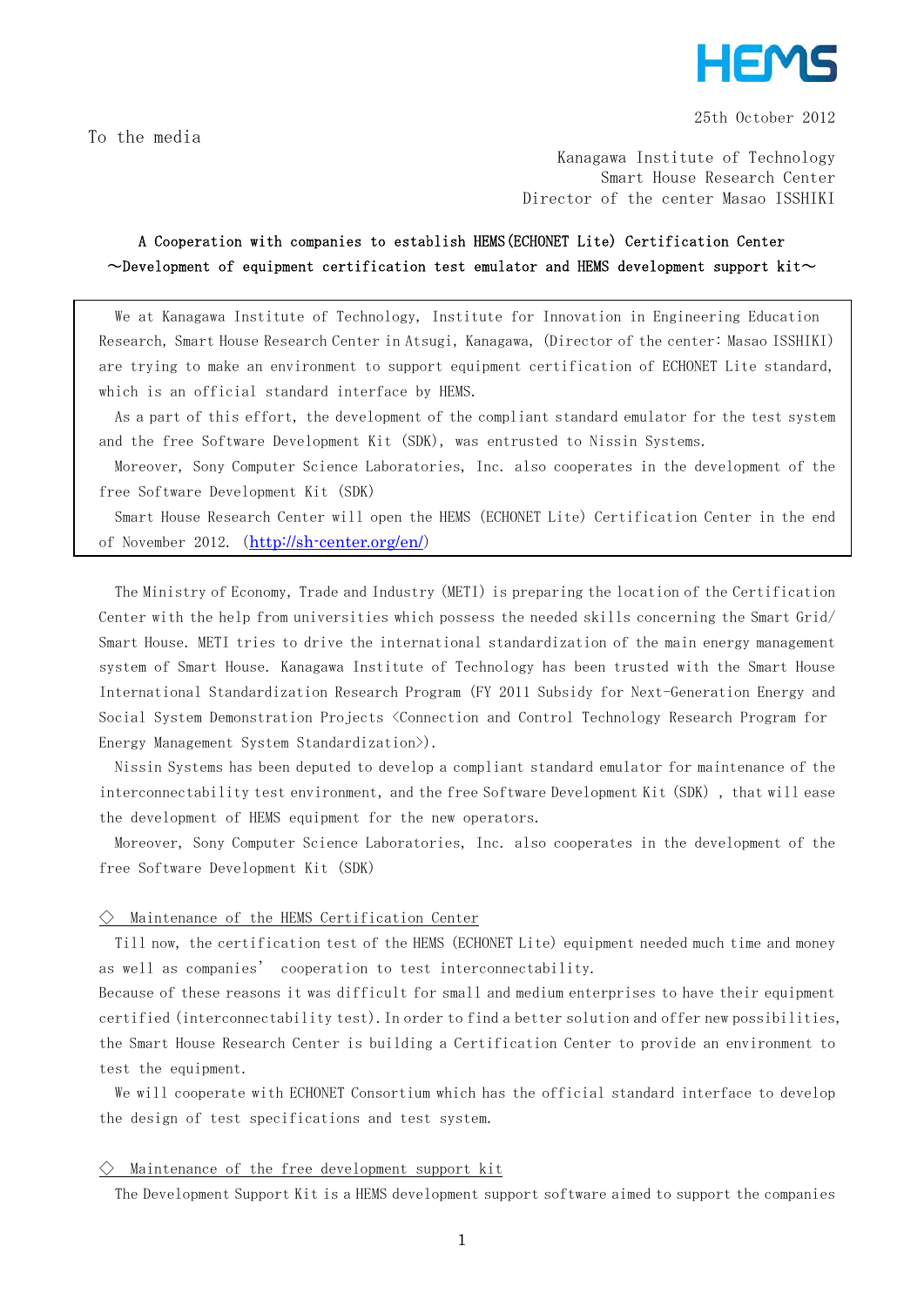

25th October 2012

To the media

Kanagawa Institute of Technology Smart House Research Center Director of the center Masao ISSHIKI

# A Cooperation with companies to establish HEMS(ECHONET Lite) Certification Center  $\sim$ Development of equipment certification test emulator and HEMS development support kit $\sim$

We at Kanagawa Institute of Technology, Institute for Innovation in Engineering Education Research, Smart House Research Center in Atsugi, Kanagawa, (Director of the center: Masao ISSHIKI) are trying to make an environment to support equipment certification of ECHONET Lite standard, which is an official standard interface by HEMS.

As a part of this effort, the development of the compliant standard emulator for the test system and the free Software Development Kit (SDK), was entrusted to Nissin Systems.

Moreover, Sony Computer Science Laboratories, Inc. also cooperates in the development of the free Software Development Kit (SDK)

Smart House Research Center will open the HEMS (ECHONET Lite) Certification Center in the end of November 2012. (http://sh-center.org/en/)

The Ministry of Economy, Trade and Industry (METI) is preparing the location of the Certification Center with the help from universities which possess the needed skills concerning the Smart Grid/ Smart House. METI tries to drive the international standardization of the main energy management system of Smart House. Kanagawa Institute of Technology has been trusted with the Smart House International Standardization Research Program (FY 2011 Subsidy for Next-Generation Energy and Social System Demonstration Projects <Connection and Control Technology Research Program for Energy Management System Standardization>).

Nissin Systems has been deputed to develop a compliant standard emulator for maintenance of the interconnectability test environment, and the free Software Development Kit (SDK), that will ease the development of HEMS equipment for the new operators.

Moreover, Sony Computer Science Laboratories, Inc. also cooperates in the development of the free Software Development Kit (SDK)

#### $\diamondsuit$  Maintenance of the HEMS Certification Center

Till now, the certification test of the HEMS (ECHONET Lite) equipment needed much time and money as well as companies' cooperation to test interconnectability.

Because of these reasons it was difficult for small and medium enterprises to have their equipment certified (interconnectability test).In order to find a better solution and offer new possibilities, the Smart House Research Center is building a Certification Center to provide an environment to test the equipment.

We will cooperate with ECHONET Consortium which has the official standard interface to develop the design of test specifications and test system.

# $\diamondsuit$  Maintenance of the free development support kit

The Development Support Kit is a HEMS development support software aimed to support the companies